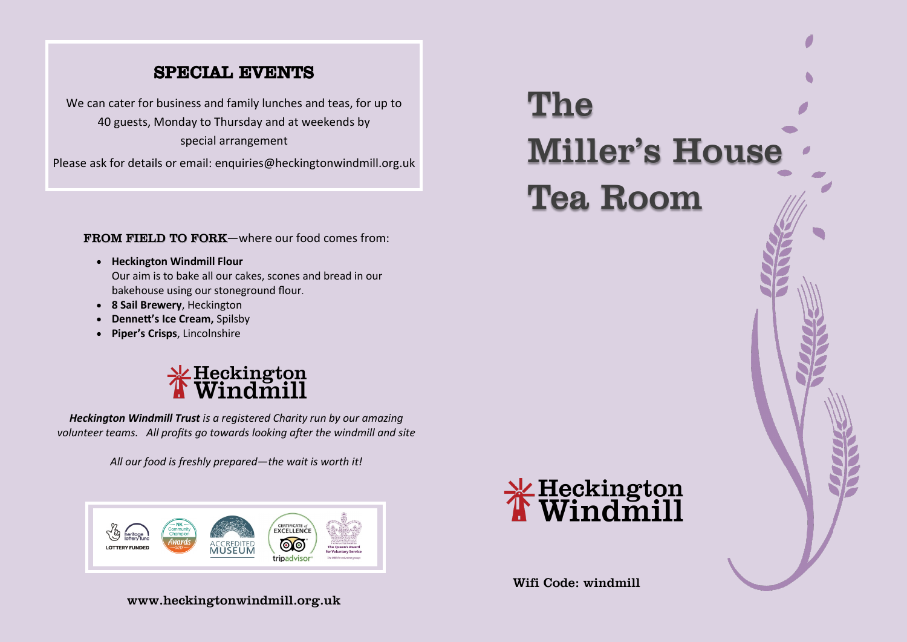# SPECIAL EVENTS

We can cater for business and family lunches and teas, for up to 40 guests, Monday to Thursday and at weekends by special arrangement

Please ask for details or email: enquiries@heckingtonwindmill.org.uk

FROM FIELD TO FORK-where our food comes from:

- **Heckington Windmill Flour** Our aim is to bake all our cakes, scones and bread in our bakehouse using our stoneground flour.
- **8 Sail Brewery**, Heckington
- **Dennett's Ice Cream,** Spilsby
- **Piper's Crisps**, Lincolnshire



*Heckington Windmill Trust is a registered Charity run by our amazing volunteer teams. All profits go towards looking after the windmill and site*

*All our food is freshly prepared—the wait is worth it!* 



www.heckingtonwindmill.org.uk



Tea Room



Wifi Code: windmill